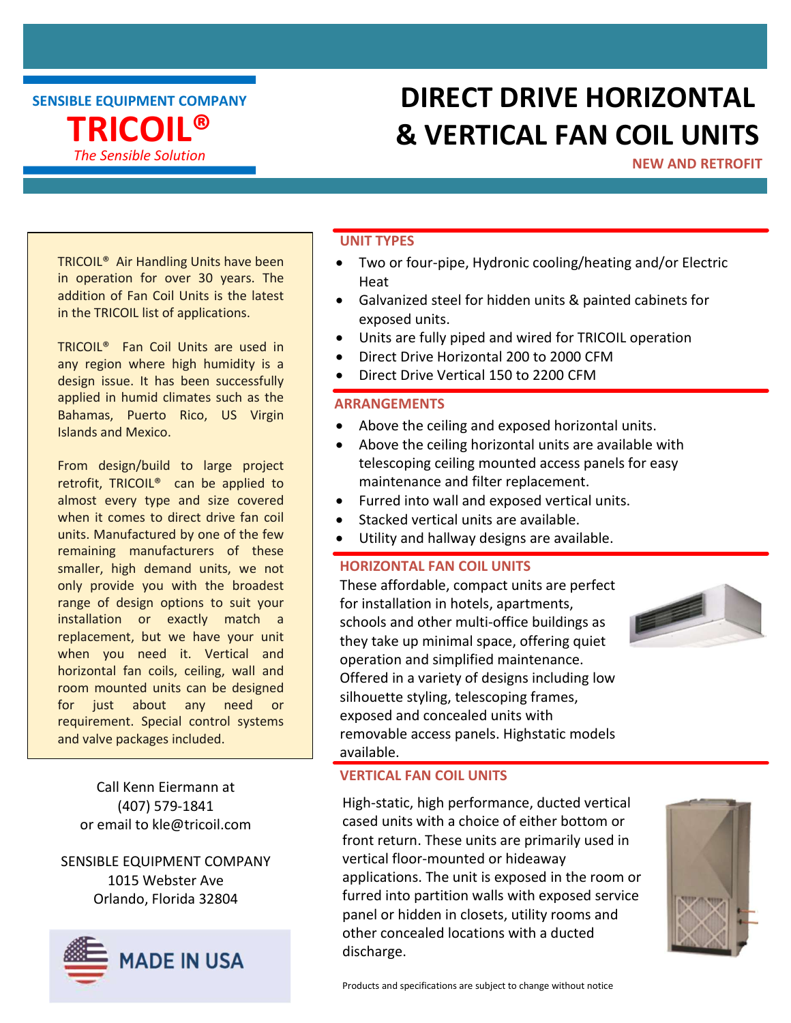SENSIBLE EQUIPMENT COMPANY TRICOIL® The Sensible Solution

## DIRECT DRIVE HORIZONTAL & VERTICAL FAN COIL UNITS

NEW AND RETROFIT

TRICOIL® Air Handling Units have been in operation for over 30 years. The addition of Fan Coil Units is the latest in the TRICOIL list of applications.

TRICOIL® Fan Coil Units are used in any region where high humidity is a design issue. It has been successfully applied in humid climates such as the Bahamas, Puerto Rico, US Virgin Islands and Mexico.

From design/build to large project retrofit, TRICOIL® can be applied to almost every type and size covered when it comes to direct drive fan coil units. Manufactured by one of the few remaining manufacturers of these smaller, high demand units, we not only provide you with the broadest range of design options to suit your installation or exactly match a replacement, but we have your unit when you need it. Vertical and horizontal fan coils, ceiling, wall and room mounted units can be designed for just about any need or requirement. Special control systems and valve packages included.

Call Kenn Eiermann at (407) 579-1841 or email to kle@tricoil.com

SENSIBLE EQUIPMENT COMPANY 1015 Webster Ave Orlando, Florida 32804



#### UNIT TYPES

- Two or four-pipe, Hydronic cooling/heating and/or Electric Heat
- Galvanized steel for hidden units & painted cabinets for exposed units.
- Units are fully piped and wired for TRICOIL operation
- Direct Drive Horizontal 200 to 2000 CFM
- Direct Drive Vertical 150 to 2200 CFM

### ARRANGEMENTS

- Above the ceiling and exposed horizontal units.
- Above the ceiling horizontal units are available with telescoping ceiling mounted access panels for easy maintenance and filter replacement.
- Furred into wall and exposed vertical units.
- Stacked vertical units are available.
- Utility and hallway designs are available.

### HORIZONTAL FAN COIL UNITS

These affordable, compact units are perfect for installation in hotels, apartments, schools and other multi-office buildings as they take up minimal space, offering quiet operation and simplified maintenance. Offered in a variety of designs including low silhouette styling, telescoping frames, exposed and concealed units with removable access panels. Highstatic models available.



#### VERTICAL FAN COIL UNITS

High-static, high performance, ducted vertical cased units with a choice of either bottom or front return. These units are primarily used in vertical floor-mounted or hideaway applications. The unit is exposed in the room or furred into partition walls with exposed service panel or hidden in closets, utility rooms and other concealed locations with a ducted discharge.